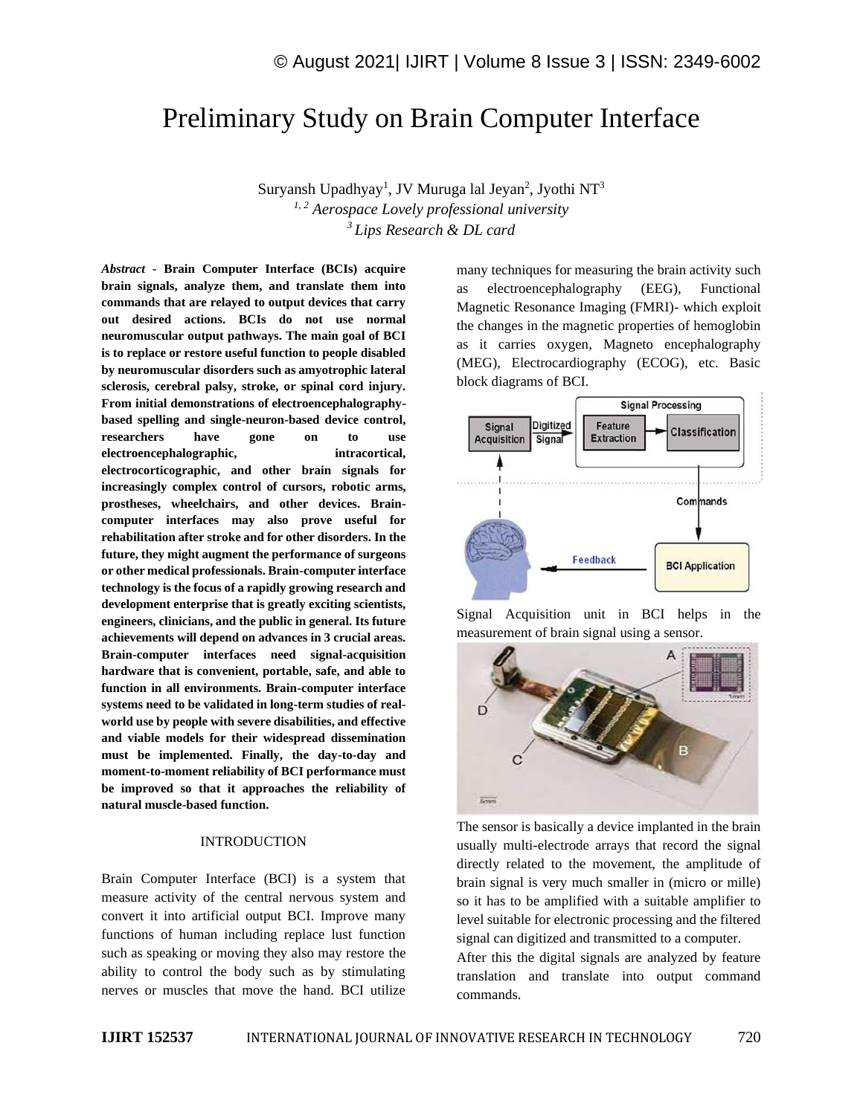# Preliminary Study on Brain Computer Interface

Suryansh Upadhyay<sup>1</sup>, JV Muruga lal Jeyan<sup>2</sup>, Jyothi NT<sup>3</sup> *1, 2 Aerospace Lovely professional university <sup>3</sup>Lips Research & DL card*

*Abstract -* **Brain Computer Interface (BCIs) acquire brain signals, analyze them, and translate them into commands that are relayed to output devices that carry out desired actions. BCIs do not use normal neuromuscular output pathways. The main goal of BCI is to replace or restore useful function to people disabled by neuromuscular disorders such as amyotrophic lateral sclerosis, cerebral palsy, stroke, or spinal cord injury. From initial demonstrations of electroencephalographybased spelling and single-neuron-based device control, researchers have gone on to use electroencephalographic, intracortical, electrocorticographic, and other brain signals for increasingly complex control of cursors, robotic arms, prostheses, wheelchairs, and other devices. Braincomputer interfaces may also prove useful for rehabilitation after stroke and for other disorders. In the future, they might augment the performance of surgeons or other medical professionals. Brain-computer interface technology is the focus of a rapidly growing research and development enterprise that is greatly exciting scientists, engineers, clinicians, and the public in general. Its future achievements will depend on advances in 3 crucial areas. Brain-computer interfaces need signal-acquisition hardware that is convenient, portable, safe, and able to function in all environments. Brain-computer interface systems need to be validated in long-term studies of realworld use by people with severe disabilities, and effective and viable models for their widespread dissemination must be implemented. Finally, the day-to-day and moment-to-moment reliability of BCI performance must be improved so that it approaches the reliability of natural muscle-based function.**

#### INTRODUCTION

Brain Computer Interface (BCI) is a system that measure activity of the central nervous system and convert it into artificial output BCI. Improve many functions of human including replace lust function such as speaking or moving they also may restore the ability to control the body such as by stimulating nerves or muscles that move the hand. BCI utilize

many techniques for measuring the brain activity such as electroencephalography (EEG), Functional Magnetic Resonance Imaging (FMRI)- which exploit the changes in the magnetic properties of hemoglobin as it carries oxygen, Magneto encephalography (MEG), Electrocardiography (ECOG), etc. Basic block diagrams of BCI.



Signal Acquisition unit in BCI helps in the measurement of brain signal using a sensor.



The sensor is basically a device implanted in the brain usually multi-electrode arrays that record the signal directly related to the movement, the amplitude of brain signal is very much smaller in (micro or mille) so it has to be amplified with a suitable amplifier to level suitable for electronic processing and the filtered signal can digitized and transmitted to a computer.

After this the digital signals are analyzed by feature translation and translate into output command commands.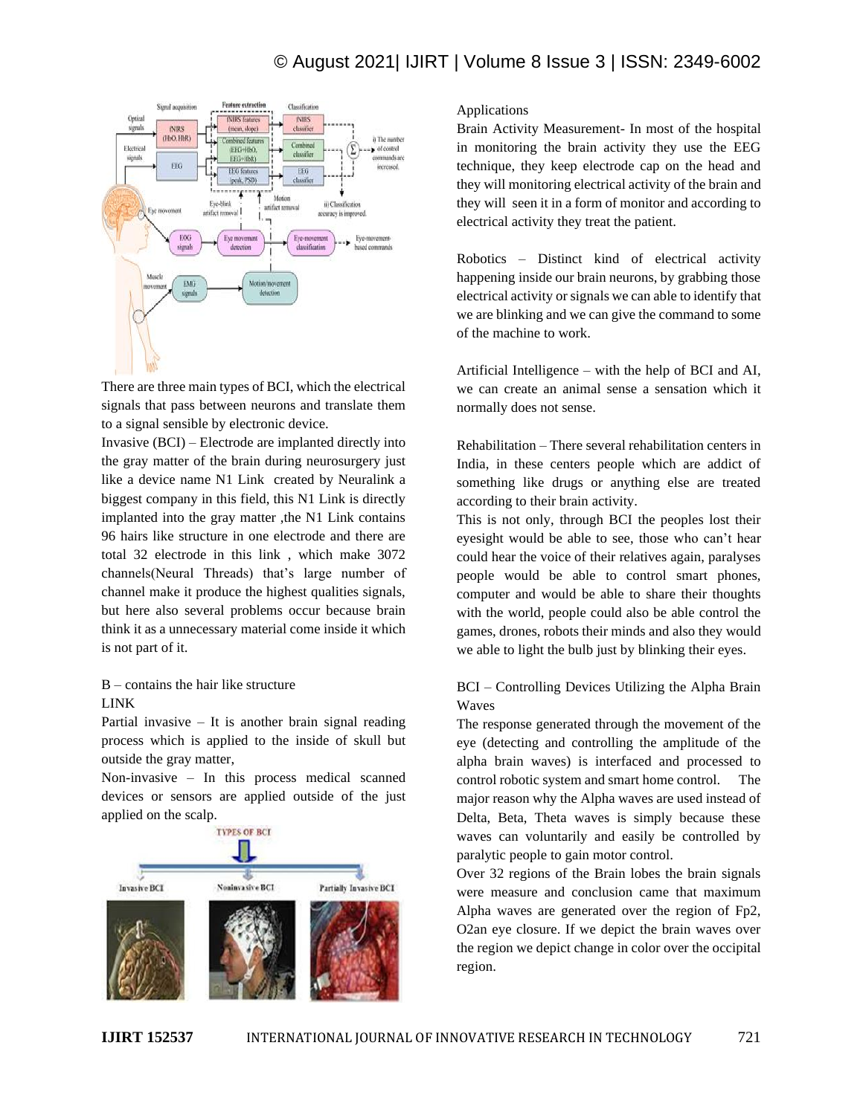# © August 2021| IJIRT | Volume 8 Issue 3 | ISSN: 2349-6002



There are three main types of BCI, which the electrical signals that pass between neurons and translate them to a signal sensible by electronic device.

Invasive (BCI) – Electrode are implanted directly into the gray matter of the brain during neurosurgery just like a device name N1 Link created by Neuralink a biggest company in this field, this N1 Link is directly implanted into the gray matter ,the N1 Link contains 96 hairs like structure in one electrode and there are total 32 electrode in this link , which make 3072 channels(Neural Threads) that's large number of channel make it produce the highest qualities signals, but here also several problems occur because brain think it as a unnecessary material come inside it which is not part of it.

## B – contains the hair like structure LINK

Partial invasive  $-$  It is another brain signal reading process which is applied to the inside of skull but outside the gray matter,

Non-invasive – In this process medical scanned devices or sensors are applied outside of the just applied on the scalp.<br>INPES OF BCI



#### Applications

Brain Activity Measurement- In most of the hospital in monitoring the brain activity they use the EEG technique, they keep electrode cap on the head and they will monitoring electrical activity of the brain and they will seen it in a form of monitor and according to electrical activity they treat the patient.

Robotics – Distinct kind of electrical activity happening inside our brain neurons, by grabbing those electrical activity or signals we can able to identify that we are blinking and we can give the command to some of the machine to work.

Artificial Intelligence – with the help of BCI and AI, we can create an animal sense a sensation which it normally does not sense.

Rehabilitation – There several rehabilitation centers in India, in these centers people which are addict of something like drugs or anything else are treated according to their brain activity.

This is not only, through BCI the peoples lost their eyesight would be able to see, those who can't hear could hear the voice of their relatives again, paralyses people would be able to control smart phones, computer and would be able to share their thoughts with the world, people could also be able control the games, drones, robots their minds and also they would we able to light the bulb just by blinking their eyes.

### BCI – Controlling Devices Utilizing the Alpha Brain Waves

The response generated through the movement of the eye (detecting and controlling the amplitude of the alpha brain waves) is interfaced and processed to control robotic system and smart home control. The major reason why the Alpha waves are used instead of Delta, Beta, Theta waves is simply because these waves can voluntarily and easily be controlled by paralytic people to gain motor control.

Over 32 regions of the Brain lobes the brain signals were measure and conclusion came that maximum Alpha waves are generated over the region of Fp2, O2an eye closure. If we depict the brain waves over the region we depict change in color over the occipital region.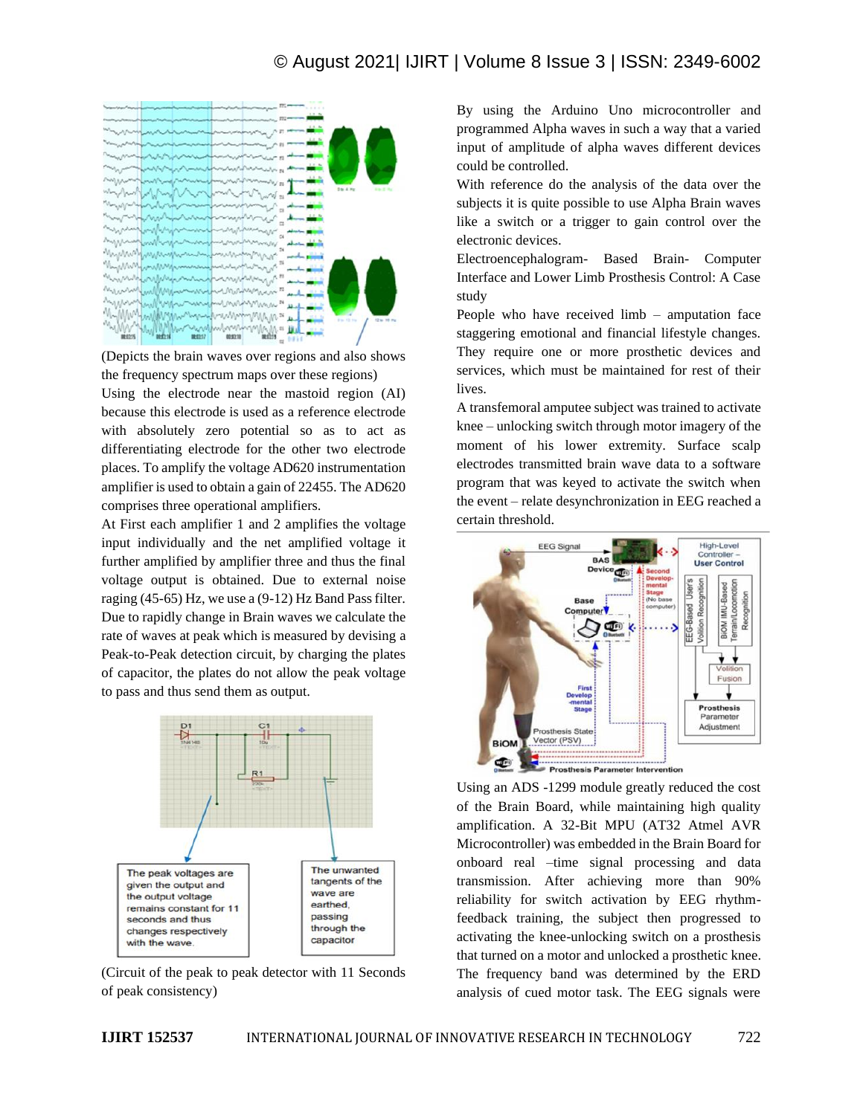# © August 2021| IJIRT | Volume 8 Issue 3 | ISSN: 2349-6002



(Depicts the brain waves over regions and also shows the frequency spectrum maps over these regions)

Using the electrode near the mastoid region (AI) because this electrode is used as a reference electrode with absolutely zero potential so as to act as differentiating electrode for the other two electrode places. To amplify the voltage AD620 instrumentation amplifier is used to obtain a gain of 22455. The AD620 comprises three operational amplifiers.

At First each amplifier 1 and 2 amplifies the voltage input individually and the net amplified voltage it further amplified by amplifier three and thus the final voltage output is obtained. Due to external noise raging (45-65) Hz, we use a (9-12) Hz Band Pass filter. Due to rapidly change in Brain waves we calculate the rate of waves at peak which is measured by devising a Peak-to-Peak detection circuit, by charging the plates of capacitor, the plates do not allow the peak voltage to pass and thus send them as output.



(Circuit of the peak to peak detector with 11 Seconds of peak consistency)

By using the Arduino Uno microcontroller and programmed Alpha waves in such a way that a varied input of amplitude of alpha waves different devices could be controlled.

With reference do the analysis of the data over the subjects it is quite possible to use Alpha Brain waves like a switch or a trigger to gain control over the electronic devices.

Electroencephalogram- Based Brain- Computer Interface and Lower Limb Prosthesis Control: A Case study

People who have received limb – amputation face staggering emotional and financial lifestyle changes. They require one or more prosthetic devices and services, which must be maintained for rest of their lives.

A transfemoral amputee subject was trained to activate knee – unlocking switch through motor imagery of the moment of his lower extremity. Surface scalp electrodes transmitted brain wave data to a software program that was keyed to activate the switch when the event – relate desynchronization in EEG reached a certain threshold.



Using an ADS -1299 module greatly reduced the cost of the Brain Board, while maintaining high quality amplification. A 32-Bit MPU (AT32 Atmel AVR Microcontroller) was embedded in the Brain Board for onboard real –time signal processing and data transmission. After achieving more than 90% reliability for switch activation by EEG rhythmfeedback training, the subject then progressed to activating the knee-unlocking switch on a prosthesis that turned on a motor and unlocked a prosthetic knee. The frequency band was determined by the ERD analysis of cued motor task. The EEG signals were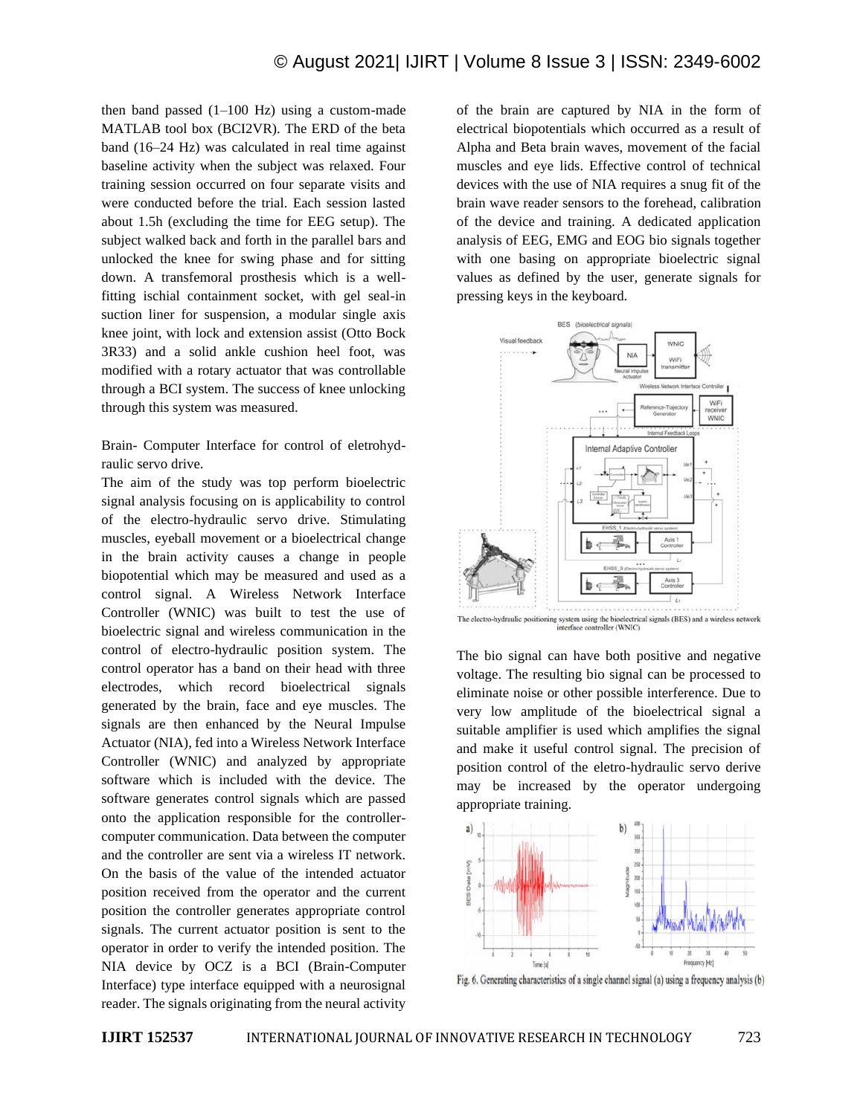then band passed  $(1-100 \text{ Hz})$  using a custom-made MATLAB tool box (BCI2VR). The ERD of the beta band (16–24 Hz) was calculated in real time against baseline activity when the subject was relaxed. Four training session occurred on four separate visits and were conducted before the trial. Each session lasted about 1.5h (excluding the time for EEG setup). The subject walked back and forth in the parallel bars and unlocked the knee for swing phase and for sitting down. A transfemoral prosthesis which is a wellfitting ischial containment socket, with gel seal-in suction liner for suspension, a modular single axis knee joint, with lock and extension assist (Otto Bock 3R33) and a solid ankle cushion heel foot, was modified with a rotary actuator that was controllable through a BCI system. The success of knee unlocking through this system was measured.

Brain- Computer Interface for control of eletrohydraulic servo drive.

The aim of the study was top perform bioelectric signal analysis focusing on is applicability to control of the electro-hydraulic servo drive. Stimulating muscles, eyeball movement or a bioelectrical change in the brain activity causes a change in people biopotential which may be measured and used as a control signal. A Wireless Network Interface Controller (WNIC) was built to test the use of bioelectric signal and wireless communication in the control of electro-hydraulic position system. The control operator has a band on their head with three electrodes, which record bioelectrical signals generated by the brain, face and eye muscles. The signals are then enhanced by the Neural Impulse Actuator (NIA), fed into a Wireless Network Interface Controller (WNIC) and analyzed by appropriate software which is included with the device. The software generates control signals which are passed onto the application responsible for the controllercomputer communication. Data between the computer and the controller are sent via a wireless IT network. On the basis of the value of the intended actuator position received from the operator and the current position the controller generates appropriate control signals. The current actuator position is sent to the operator in order to verify the intended position. The NIA device by OCZ is a BCI (Brain-Computer Interface) type interface equipped with a neurosignal reader. The signals originating from the neural activity

of the brain are captured by NIA in the form of electrical biopotentials which occurred as a result of Alpha and Beta brain waves, movement of the facial muscles and eye lids. Effective control of technical devices with the use of NIA requires a snug fit of the brain wave reader sensors to the forehead, calibration of the device and training. A dedicated application analysis of EEG, EMG and EOG bio signals together with one basing on appropriate bioelectric signal values as defined by the user, generate signals for pressing keys in the keyboard.



The bio signal can have both positive and negative voltage. The resulting bio signal can be processed to eliminate noise or other possible interference. Due to very low amplitude of the bioelectrical signal a suitable amplifier is used which amplifies the signal and make it useful control signal. The precision of position control of the eletro-hydraulic servo derive may be increased by the operator undergoing appropriate training.



Fig. 6. Generating characteristics of a single channel signal (a) using a frequency analysis (b)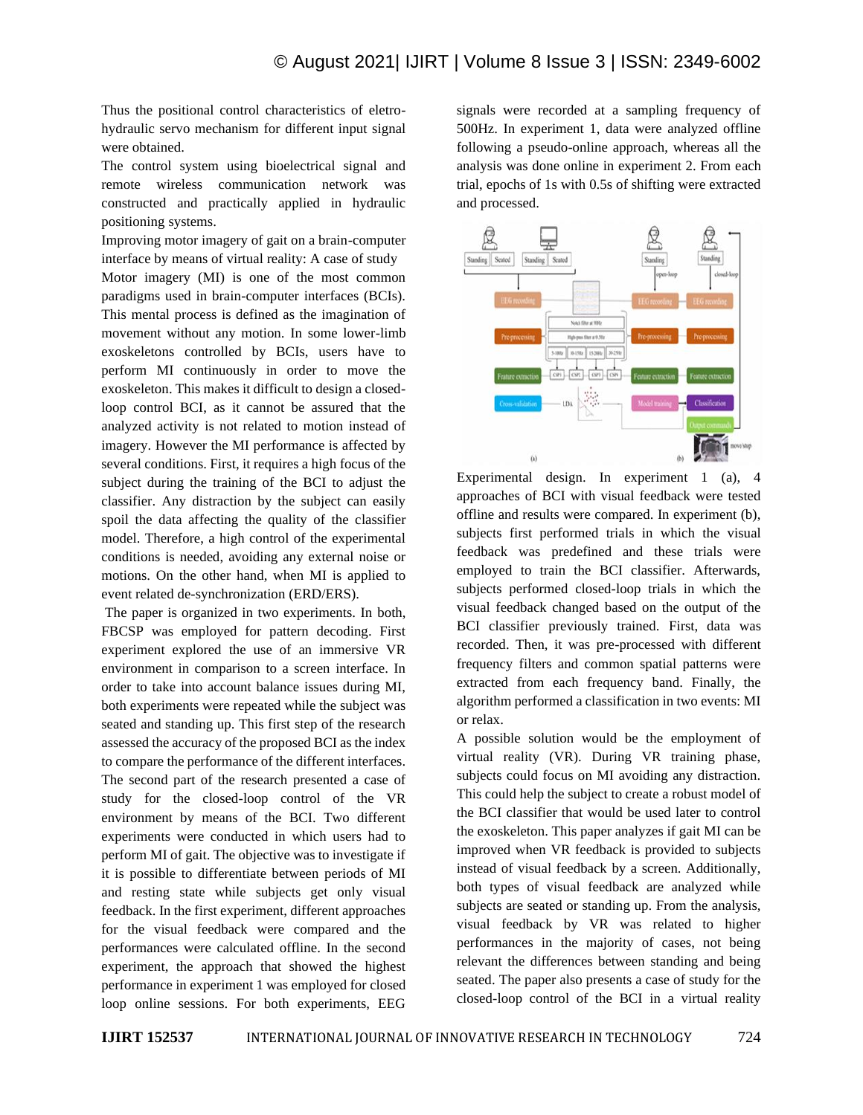Thus the positional control characteristics of eletrohydraulic servo mechanism for different input signal were obtained.

The control system using bioelectrical signal and remote wireless communication network was constructed and practically applied in hydraulic positioning systems.

Improving motor imagery of gait on a brain-computer interface by means of virtual reality: A case of study Motor imagery (MI) is one of the most common paradigms used in brain-computer interfaces (BCIs). This mental process is defined as the imagination of movement without any motion. In some lower-limb exoskeletons controlled by BCIs, users have to perform MI continuously in order to move the exoskeleton. This makes it difficult to design a closedloop control BCI, as it cannot be assured that the analyzed activity is not related to motion instead of imagery. However the MI performance is affected by several conditions. First, it requires a high focus of the subject during the training of the BCI to adjust the classifier. Any distraction by the subject can easily spoil the data affecting the quality of the classifier model. Therefore, a high control of the experimental conditions is needed, avoiding any external noise or motions. On the other hand, when MI is applied to event related de-synchronization (ERD/ERS).

The paper is organized in two experiments. In both, FBCSP was employed for pattern decoding. First experiment explored the use of an immersive VR environment in comparison to a screen interface. In order to take into account balance issues during MI, both experiments were repeated while the subject was seated and standing up. This first step of the research assessed the accuracy of the proposed BCI as the index to compare the performance of the different interfaces. The second part of the research presented a case of study for the closed-loop control of the VR environment by means of the BCI. Two different experiments were conducted in which users had to perform MI of gait. The objective was to investigate if it is possible to differentiate between periods of MI and resting state while subjects get only visual feedback. In the first experiment, different approaches for the visual feedback were compared and the performances were calculated offline. In the second experiment, the approach that showed the highest performance in experiment 1 was employed for closed loop online sessions. For both experiments, EEG signals were recorded at a sampling frequency of 500Hz. In experiment 1, data were analyzed offline following a pseudo-online approach, whereas all the analysis was done online in experiment 2. From each trial, epochs of 1s with 0.5s of shifting were extracted and processed.



Experimental design. In experiment 1 (a), 4 approaches of BCI with visual feedback were tested offline and results were compared. In experiment (b), subjects first performed trials in which the visual feedback was predefined and these trials were employed to train the BCI classifier. Afterwards, subjects performed closed-loop trials in which the visual feedback changed based on the output of the BCI classifier previously trained. First, data was recorded. Then, it was pre-processed with different frequency filters and common spatial patterns were extracted from each frequency band. Finally, the algorithm performed a classification in two events: MI or relax.

A possible solution would be the employment of virtual reality (VR). During VR training phase, subjects could focus on MI avoiding any distraction. This could help the subject to create a robust model of the BCI classifier that would be used later to control the exoskeleton. This paper analyzes if gait MI can be improved when VR feedback is provided to subjects instead of visual feedback by a screen. Additionally, both types of visual feedback are analyzed while subjects are seated or standing up. From the analysis, visual feedback by VR was related to higher performances in the majority of cases, not being relevant the differences between standing and being seated. The paper also presents a case of study for the closed-loop control of the BCI in a virtual reality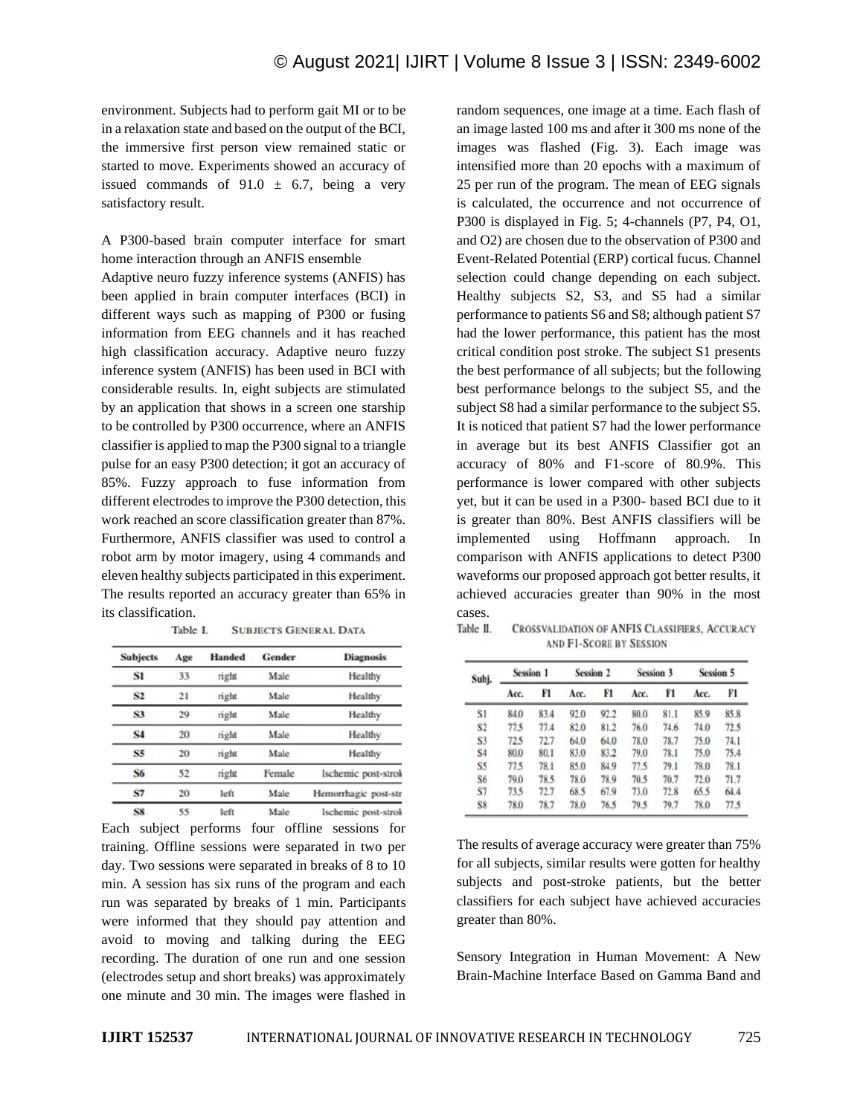environment. Subjects had to perform gait MI or to be in a relaxation state and based on the output of the BCI, the immersive first person view remained static or started to move. Experiments showed an accuracy of issued commands of  $91.0 \pm 6.7$ , being a very satisfactory result.

A P300-based brain computer interface for smart home interaction through an ANFIS ensemble

Adaptive neuro fuzzy inference systems (ANFIS) has been applied in brain computer interfaces (BCI) in different ways such as mapping of P300 or fusing information from EEG channels and it has reached high classification accuracy. Adaptive neuro fuzzy inference system (ANFIS) has been used in BCI with considerable results. In, eight subjects are stimulated by an application that shows in a screen one starship to be controlled by P300 occurrence, where an ANFIS classifier is applied to map the P300 signal to a triangle pulse for an easy P300 detection; it got an accuracy of 85%. Fuzzy approach to fuse information from different electrodes to improve the P300 detection, this work reached an score classification greater than 87%. Furthermore, ANFIS classifier was used to control a robot arm by motor imagery, using 4 commands and eleven healthy subjects participated in this experiment. The results reported an accuracy greater than 65% in its classification.

| <b>Subjects</b> | Age         | <b>Handed</b> | <b>Gender</b> | <b>Diagnosis</b>     |  |  |
|-----------------|-------------|---------------|---------------|----------------------|--|--|
| S1              | 33<br>right |               | Male          | Healthy              |  |  |
| S2              | 21          | right         | Male          | Healthy              |  |  |
| S3              | 29          | right         | Male          | Healthy              |  |  |
| <b>S4</b>       | 20          | right         | Male          | Healthy              |  |  |
| S5              | 20          | right         | Male          | Healthy              |  |  |
| <b>S6</b>       | 52          | right         | Female        | Ischemic post-strok  |  |  |
| <b>S7</b>       | 20          | left          | Male          | Hemorrhagic post-str |  |  |
|                 |             |               |               |                      |  |  |

Table I **SUBJECTS GENERAL DATA** 

Male Ischemic post-strok S8  $55$ left Each subject performs four offline sessions for training. Offline sessions were separated in two per day. Two sessions were separated in breaks of 8 to 10 min. A session has six runs of the program and each run was separated by breaks of 1 min. Participants were informed that they should pay attention and avoid to moving and talking during the EEG recording. The duration of one run and one session (electrodes setup and short breaks) was approximately one minute and 30 min. The images were flashed in random sequences, one image at a time. Each flash of an image lasted 100 ms and after it 300 ms none of the images was flashed (Fig. 3). Each image was intensified more than 20 epochs with a maximum of 25 per run of the program. The mean of EEG signals is calculated, the occurrence and not occurrence of P300 is displayed in Fig. 5; 4-channels (P7, P4, O1, and O2) are chosen due to the observation of P300 and Event-Related Potential (ERP) cortical fucus. Channel selection could change depending on each subject. Healthy subjects S2, S3, and S5 had a similar performance to patients S6 and S8; although patient S7 had the lower performance, this patient has the most critical condition post stroke. The subject S1 presents the best performance of all subjects; but the following best performance belongs to the subject S5, and the subject S8 had a similar performance to the subject S5. It is noticed that patient S7 had the lower performance in average but its best ANFIS Classifier got an accuracy of 80% and F1-score of 80.9%. This performance is lower compared with other subjects yet, but it can be used in a P300- based BCI due to it is greater than 80%. Best ANFIS classifiers will be implemented using Hoffmann approach. In comparison with ANFIS applications to detect P300 waveforms our proposed approach got better results, it achieved accuracies greater than 90% in the most cases.

| Table II. | <b>CROSSVALIDATION OF ANFIS CLASSIFIERS, ACCURACY</b> |
|-----------|-------------------------------------------------------|
|           | <b>AND F1-SCORE BY SESSION</b>                        |

| Subj.          | <b>Session 1</b> |      | <b>Session 2</b> |      | <b>Session 3</b> |      | <b>Session 5</b> |      |
|----------------|------------------|------|------------------|------|------------------|------|------------------|------|
|                | Acc.             | F1   | Acc.             | FI   | Acc.             | F1   | Acc.             | F1   |
| S1             | 84.0             | 83.4 | 92.0             | 92.2 | 80.0             | 81.1 | 85.9             | 85.8 |
| S <sub>2</sub> | 77.5             | 77.4 | 82.0             | 81.2 | 76.0             | 74.6 | 74.0             | 72.5 |
| S <sub>3</sub> | 72.5             | 72.7 | 64.0             | 64.0 | 78.0             | 78.7 | 75.0             | 74.1 |
| \$4            | 80.0             | 80.1 | 83.0             | 83.2 | 79.0             | 78.1 | 75.0             | 75.4 |
| S5             | 77.5             | 78.1 | 85.0             | 84.9 | 77.5             | 79.1 | 78.0             | 78.1 |
| \$6            | 79.0             | 78.5 | 78.0             | 78.9 | 70.5             | 70.7 | 72.0             | 71.7 |
| \$7            | 73.5             | 72.7 | 68.5             | 67.9 | 73.0             | 72.8 | 65.5             | 64.4 |
| \$8            | 78.0             | 78.7 | 78.0             | 76.5 | 79.5             | 79.7 | 78.0             | 77.5 |

The results of average accuracy were greater than 75% for all subjects, similar results were gotten for healthy subjects and post-stroke patients, but the better classifiers for each subject have achieved accuracies greater than 80%.

Sensory Integration in Human Movement: A New Brain-Machine Interface Based on Gamma Band and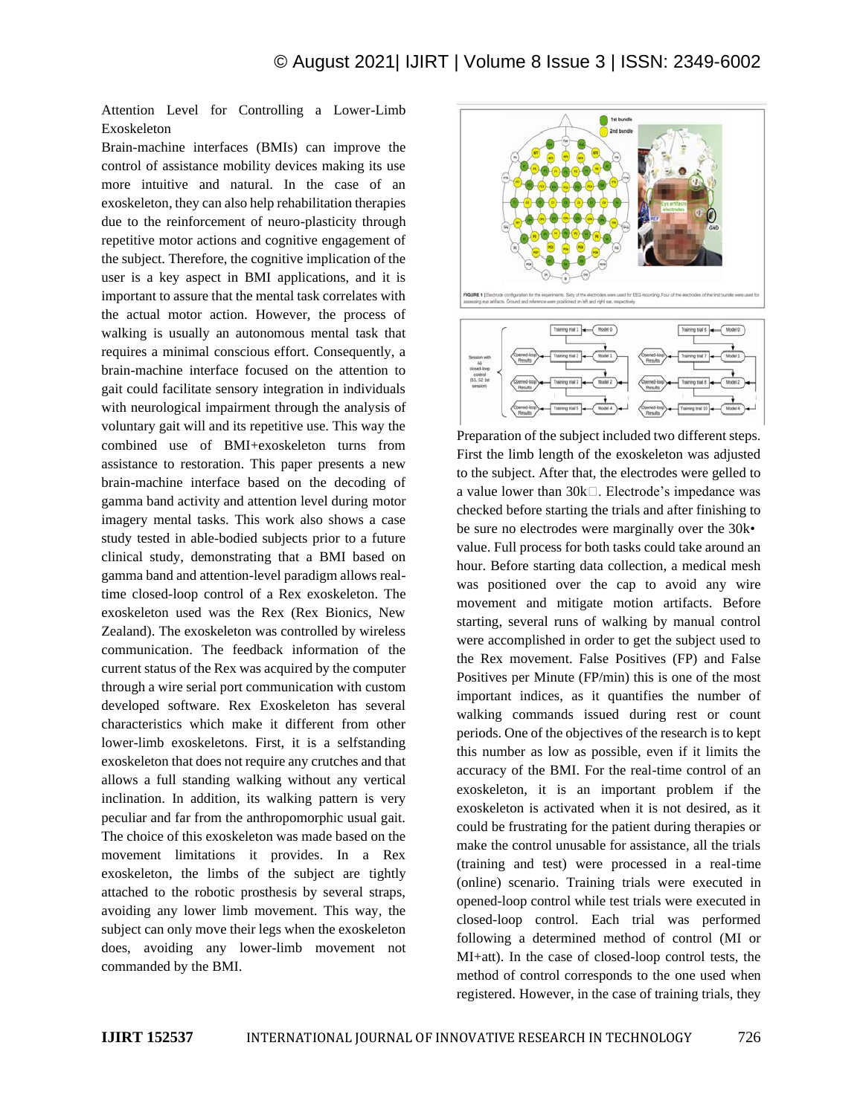Attention Level for Controlling a Lower-Limb Exoskeleton

Brain-machine interfaces (BMIs) can improve the control of assistance mobility devices making its use more intuitive and natural. In the case of an exoskeleton, they can also help rehabilitation therapies due to the reinforcement of neuro-plasticity through repetitive motor actions and cognitive engagement of the subject. Therefore, the cognitive implication of the user is a key aspect in BMI applications, and it is important to assure that the mental task correlates with the actual motor action. However, the process of walking is usually an autonomous mental task that requires a minimal conscious effort. Consequently, a brain-machine interface focused on the attention to gait could facilitate sensory integration in individuals with neurological impairment through the analysis of voluntary gait will and its repetitive use. This way the combined use of BMI+exoskeleton turns from assistance to restoration. This paper presents a new brain-machine interface based on the decoding of gamma band activity and attention level during motor imagery mental tasks. This work also shows a case study tested in able-bodied subjects prior to a future clinical study, demonstrating that a BMI based on gamma band and attention-level paradigm allows realtime closed-loop control of a Rex exoskeleton. The exoskeleton used was the Rex (Rex Bionics, New Zealand). The exoskeleton was controlled by wireless communication. The feedback information of the current status of the Rex was acquired by the computer through a wire serial port communication with custom developed software. Rex Exoskeleton has several characteristics which make it different from other lower-limb exoskeletons. First, it is a selfstanding exoskeleton that does not require any crutches and that allows a full standing walking without any vertical inclination. In addition, its walking pattern is very peculiar and far from the anthropomorphic usual gait. The choice of this exoskeleton was made based on the movement limitations it provides. In a Rex exoskeleton, the limbs of the subject are tightly attached to the robotic prosthesis by several straps, avoiding any lower limb movement. This way, the subject can only move their legs when the exoskeleton does, avoiding any lower-limb movement not commanded by the BMI.



Preparation of the subject included two different steps. First the limb length of the exoskeleton was adjusted to the subject. After that, the electrodes were gelled to a value lower than  $30k$ . Electrode's impedance was checked before starting the trials and after finishing to be sure no electrodes were marginally over the 30k• value. Full process for both tasks could take around an hour. Before starting data collection, a medical mesh was positioned over the cap to avoid any wire movement and mitigate motion artifacts. Before starting, several runs of walking by manual control were accomplished in order to get the subject used to the Rex movement. False Positives (FP) and False Positives per Minute (FP/min) this is one of the most important indices, as it quantifies the number of walking commands issued during rest or count periods. One of the objectives of the research is to kept this number as low as possible, even if it limits the accuracy of the BMI. For the real-time control of an exoskeleton, it is an important problem if the exoskeleton is activated when it is not desired, as it could be frustrating for the patient during therapies or make the control unusable for assistance, all the trials (training and test) were processed in a real-time (online) scenario. Training trials were executed in opened-loop control while test trials were executed in closed-loop control. Each trial was performed following a determined method of control (MI or MI+att). In the case of closed-loop control tests, the method of control corresponds to the one used when registered. However, in the case of training trials, they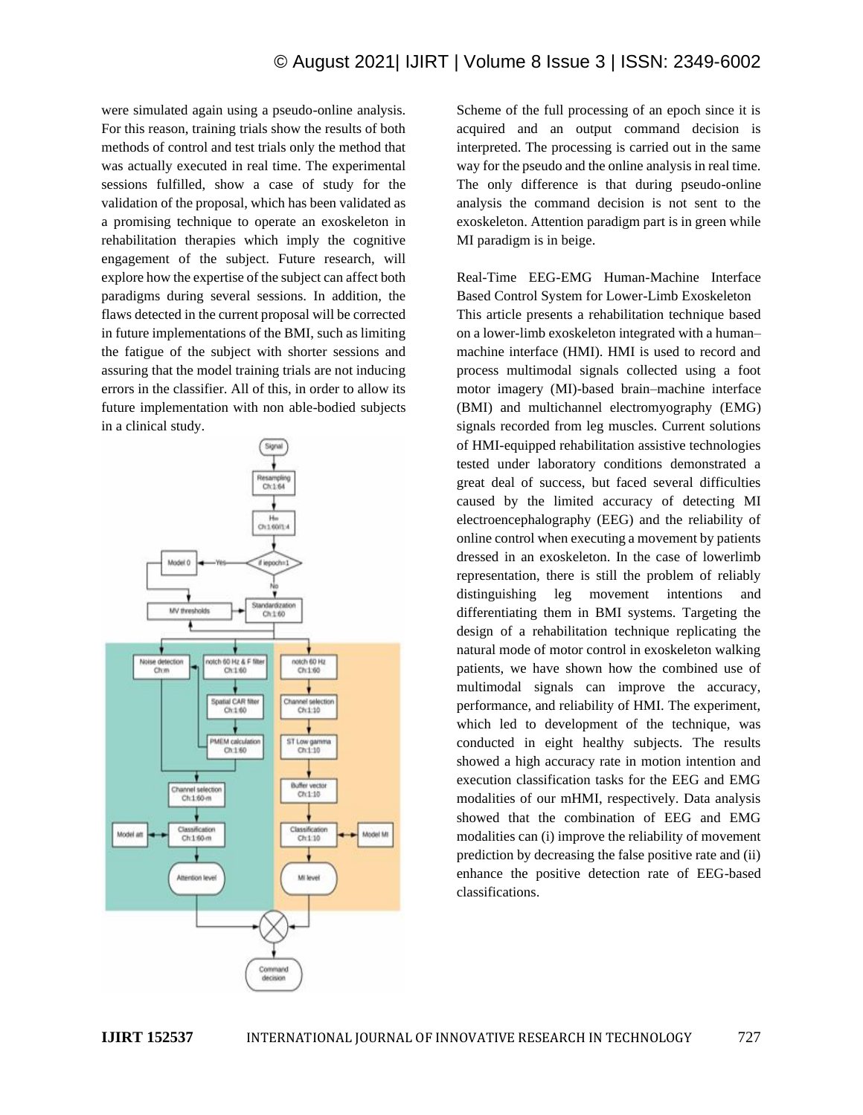were simulated again using a pseudo-online analysis. For this reason, training trials show the results of both methods of control and test trials only the method that was actually executed in real time. The experimental sessions fulfilled, show a case of study for the validation of the proposal, which has been validated as a promising technique to operate an exoskeleton in rehabilitation therapies which imply the cognitive engagement of the subject. Future research, will explore how the expertise of the subject can affect both paradigms during several sessions. In addition, the flaws detected in the current proposal will be corrected in future implementations of the BMI, such as limiting the fatigue of the subject with shorter sessions and assuring that the model training trials are not inducing errors in the classifier. All of this, in order to allow its future implementation with non able-bodied subjects in a clinical study.



Scheme of the full processing of an epoch since it is acquired and an output command decision is interpreted. The processing is carried out in the same way for the pseudo and the online analysis in real time. The only difference is that during pseudo-online analysis the command decision is not sent to the exoskeleton. Attention paradigm part is in green while MI paradigm is in beige.

Real-Time EEG-EMG Human-Machine Interface Based Control System for Lower-Limb Exoskeleton This article presents a rehabilitation technique based on a lower-limb exoskeleton integrated with a human– machine interface (HMI). HMI is used to record and process multimodal signals collected using a foot motor imagery (MI)-based brain–machine interface (BMI) and multichannel electromyography (EMG) signals recorded from leg muscles. Current solutions of HMI-equipped rehabilitation assistive technologies tested under laboratory conditions demonstrated a great deal of success, but faced several difficulties caused by the limited accuracy of detecting MI electroencephalography (EEG) and the reliability of online control when executing a movement by patients dressed in an exoskeleton. In the case of lowerlimb representation, there is still the problem of reliably distinguishing leg movement intentions and differentiating them in BMI systems. Targeting the design of a rehabilitation technique replicating the natural mode of motor control in exoskeleton walking patients, we have shown how the combined use of multimodal signals can improve the accuracy, performance, and reliability of HMI. The experiment, which led to development of the technique, was conducted in eight healthy subjects. The results showed a high accuracy rate in motion intention and execution classification tasks for the EEG and EMG modalities of our mHMI, respectively. Data analysis showed that the combination of EEG and EMG modalities can (i) improve the reliability of movement prediction by decreasing the false positive rate and (ii) enhance the positive detection rate of EEG-based classifications.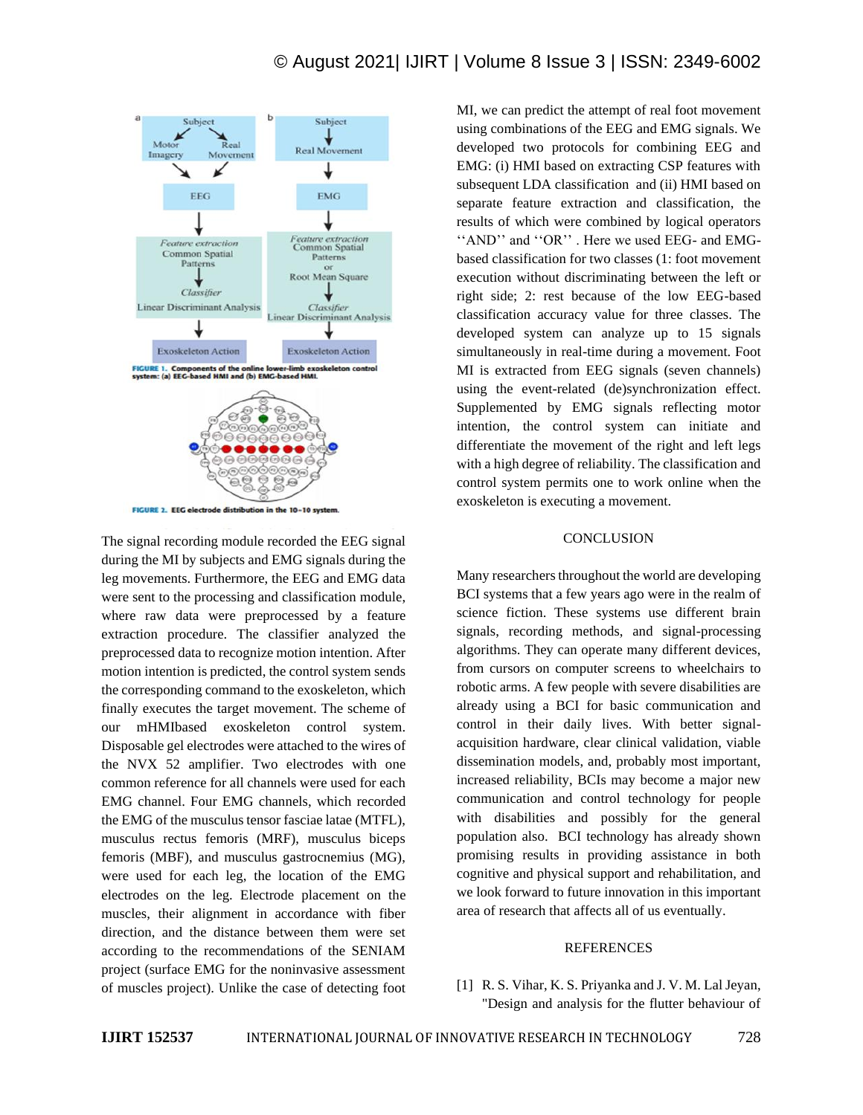

The signal recording module recorded the EEG signal during the MI by subjects and EMG signals during the leg movements. Furthermore, the EEG and EMG data were sent to the processing and classification module, where raw data were preprocessed by a feature extraction procedure. The classifier analyzed the preprocessed data to recognize motion intention. After motion intention is predicted, the control system sends the corresponding command to the exoskeleton, which finally executes the target movement. The scheme of our mHMIbased exoskeleton control system. Disposable gel electrodes were attached to the wires of the NVX 52 amplifier. Two electrodes with one common reference for all channels were used for each EMG channel. Four EMG channels, which recorded the EMG of the musculus tensor fasciae latae (MTFL), musculus rectus femoris (MRF), musculus biceps femoris (MBF), and musculus gastrocnemius (MG), were used for each leg, the location of the EMG electrodes on the leg. Electrode placement on the muscles, their alignment in accordance with fiber direction, and the distance between them were set according to the recommendations of the SENIAM project (surface EMG for the noninvasive assessment of muscles project). Unlike the case of detecting foot MI, we can predict the attempt of real foot movement using combinations of the EEG and EMG signals. We developed two protocols for combining EEG and EMG: (i) HMI based on extracting CSP features with subsequent LDA classification and (ii) HMI based on separate feature extraction and classification, the results of which were combined by logical operators ''AND'' and ''OR'' . Here we used EEG- and EMGbased classification for two classes (1: foot movement execution without discriminating between the left or right side; 2: rest because of the low EEG-based classification accuracy value for three classes. The developed system can analyze up to 15 signals simultaneously in real-time during a movement. Foot MI is extracted from EEG signals (seven channels) using the event-related (de)synchronization effect. Supplemented by EMG signals reflecting motor intention, the control system can initiate and differentiate the movement of the right and left legs with a high degree of reliability. The classification and control system permits one to work online when the exoskeleton is executing a movement.

#### **CONCLUSION**

Many researchers throughout the world are developing BCI systems that a few years ago were in the realm of science fiction. These systems use different brain signals, recording methods, and signal-processing algorithms. They can operate many different devices, from cursors on computer screens to wheelchairs to robotic arms. A few people with severe disabilities are already using a BCI for basic communication and control in their daily lives. With better signalacquisition hardware, clear clinical validation, viable dissemination models, and, probably most important, increased reliability, BCIs may become a major new communication and control technology for people with disabilities and possibly for the general population also. BCI technology has already shown promising results in providing assistance in both cognitive and physical support and rehabilitation, and we look forward to future innovation in this important area of research that affects all of us eventually.

### REFERENCES

[1] R. S. Vihar, K. S. Priyanka and J. V. M. Lal Jeyan, "Design and analysis for the flutter behaviour of